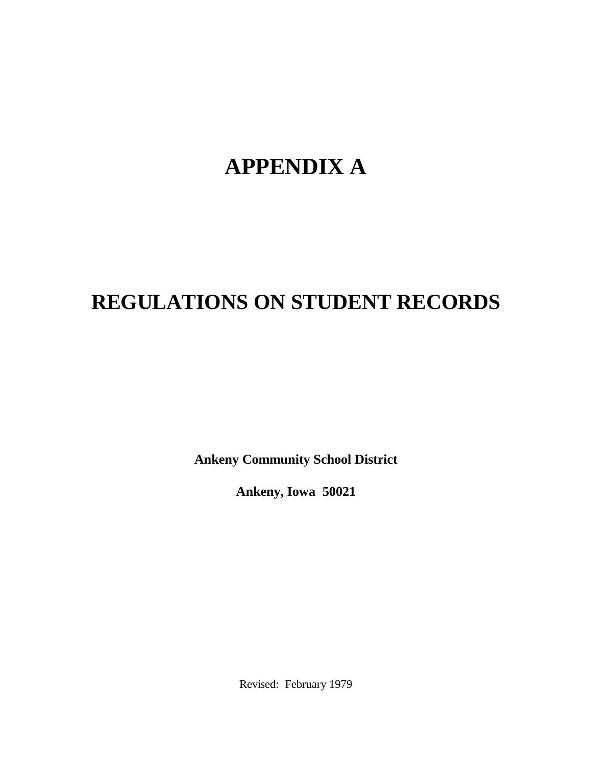# **APPENDIX A**

# **REGULATIONS ON STUDENT RECORDS**

**Ankeny Community School District**

**Ankeny, Iowa 50021**

Revised: February 1979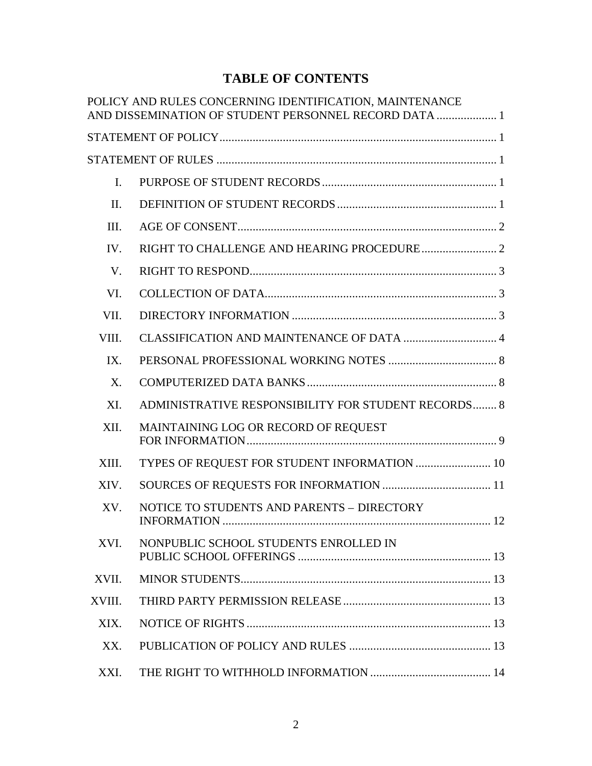# **TABLE OF CONTENTS**

|                | POLICY AND RULES CONCERNING IDENTIFICATION, MAINTENANCE<br>AND DISSEMINATION OF STUDENT PERSONNEL RECORD DATA  1 |
|----------------|------------------------------------------------------------------------------------------------------------------|
|                |                                                                                                                  |
|                |                                                                                                                  |
| $\mathbf{I}$ . |                                                                                                                  |
| II.            |                                                                                                                  |
| III.           |                                                                                                                  |
| IV.            |                                                                                                                  |
| $V_{\cdot}$    |                                                                                                                  |
| VI.            |                                                                                                                  |
| VII.           |                                                                                                                  |
| VIII.          |                                                                                                                  |
| IX.            |                                                                                                                  |
| $X_{\cdot}$    |                                                                                                                  |
| XI.            | ADMINISTRATIVE RESPONSIBILITY FOR STUDENT RECORDS 8                                                              |
| XII.           | MAINTAINING LOG OR RECORD OF REQUEST                                                                             |
| XIII.          | TYPES OF REQUEST FOR STUDENT INFORMATION  10                                                                     |
| XIV.           |                                                                                                                  |
| XV.            | NOTICE TO STUDENTS AND PARENTS - DIRECTORY                                                                       |
| XVI.           | NONPUBLIC SCHOOL STUDENTS ENROLLED IN                                                                            |
| XVII.          |                                                                                                                  |
| XVIII.         |                                                                                                                  |
| XIX.           |                                                                                                                  |
| XX.            |                                                                                                                  |
| XXI.           |                                                                                                                  |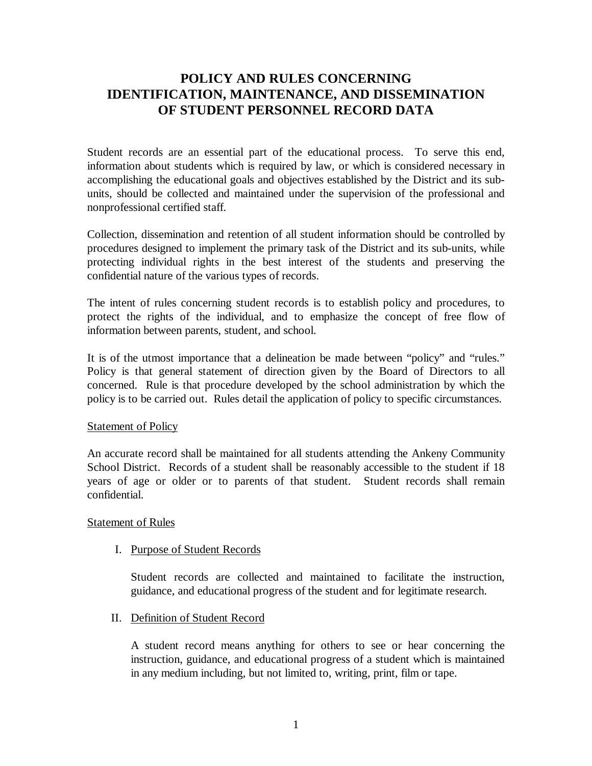# **POLICY AND RULES CONCERNING IDENTIFICATION, MAINTENANCE, AND DISSEMINATION OF STUDENT PERSONNEL RECORD DATA**

Student records are an essential part of the educational process. To serve this end, information about students which is required by law, or which is considered necessary in accomplishing the educational goals and objectives established by the District and its subunits, should be collected and maintained under the supervision of the professional and nonprofessional certified staff.

Collection, dissemination and retention of all student information should be controlled by procedures designed to implement the primary task of the District and its sub-units, while protecting individual rights in the best interest of the students and preserving the confidential nature of the various types of records.

The intent of rules concerning student records is to establish policy and procedures, to protect the rights of the individual, and to emphasize the concept of free flow of information between parents, student, and school.

It is of the utmost importance that a delineation be made between "policy" and "rules." Policy is that general statement of direction given by the Board of Directors to all concerned. Rule is that procedure developed by the school administration by which the policy is to be carried out. Rules detail the application of policy to specific circumstances.

# **Statement of Policy**

An accurate record shall be maintained for all students attending the Ankeny Community School District. Records of a student shall be reasonably accessible to the student if 18 years of age or older or to parents of that student. Student records shall remain confidential.

# Statement of Rules

# I. Purpose of Student Records

Student records are collected and maintained to facilitate the instruction, guidance, and educational progress of the student and for legitimate research.

II. Definition of Student Record

A student record means anything for others to see or hear concerning the instruction, guidance, and educational progress of a student which is maintained in any medium including, but not limited to, writing, print, film or tape.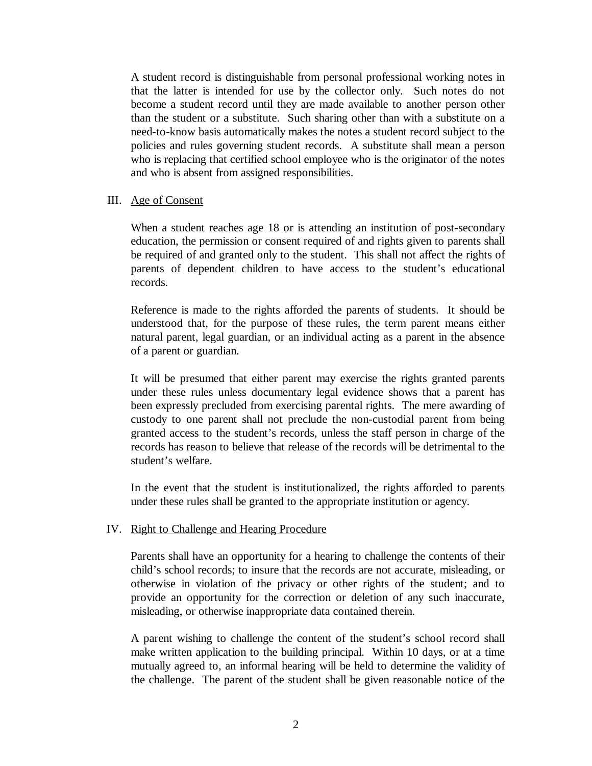A student record is distinguishable from personal professional working notes in that the latter is intended for use by the collector only. Such notes do not become a student record until they are made available to another person other than the student or a substitute. Such sharing other than with a substitute on a need-to-know basis automatically makes the notes a student record subject to the policies and rules governing student records. A substitute shall mean a person who is replacing that certified school employee who is the originator of the notes and who is absent from assigned responsibilities.

#### III. Age of Consent

When a student reaches age 18 or is attending an institution of post-secondary education, the permission or consent required of and rights given to parents shall be required of and granted only to the student. This shall not affect the rights of parents of dependent children to have access to the student's educational records.

Reference is made to the rights afforded the parents of students. It should be understood that, for the purpose of these rules, the term parent means either natural parent, legal guardian, or an individual acting as a parent in the absence of a parent or guardian.

It will be presumed that either parent may exercise the rights granted parents under these rules unless documentary legal evidence shows that a parent has been expressly precluded from exercising parental rights. The mere awarding of custody to one parent shall not preclude the non-custodial parent from being granted access to the student's records, unless the staff person in charge of the records has reason to believe that release of the records will be detrimental to the student's welfare.

In the event that the student is institutionalized, the rights afforded to parents under these rules shall be granted to the appropriate institution or agency.

#### IV. Right to Challenge and Hearing Procedure

Parents shall have an opportunity for a hearing to challenge the contents of their child's school records; to insure that the records are not accurate, misleading, or otherwise in violation of the privacy or other rights of the student; and to provide an opportunity for the correction or deletion of any such inaccurate, misleading, or otherwise inappropriate data contained therein.

A parent wishing to challenge the content of the student's school record shall make written application to the building principal. Within 10 days, or at a time mutually agreed to, an informal hearing will be held to determine the validity of the challenge. The parent of the student shall be given reasonable notice of the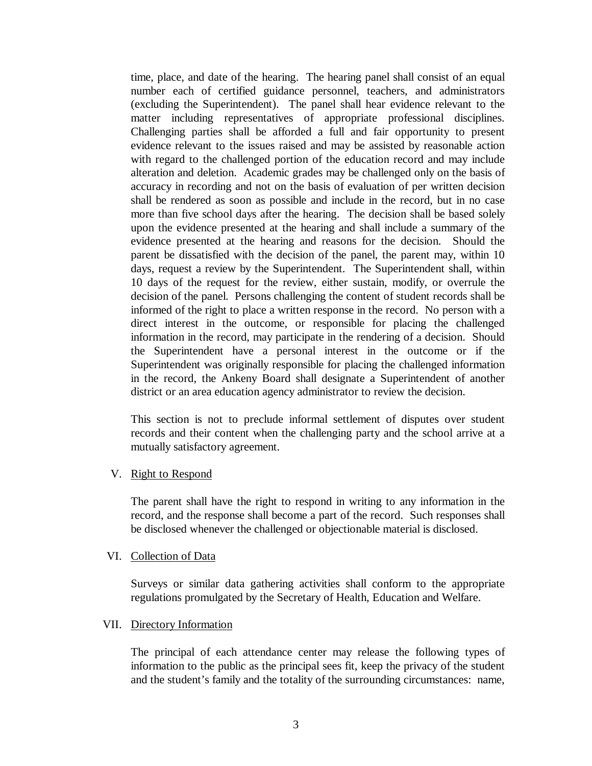time, place, and date of the hearing. The hearing panel shall consist of an equal number each of certified guidance personnel, teachers, and administrators (excluding the Superintendent). The panel shall hear evidence relevant to the matter including representatives of appropriate professional disciplines. Challenging parties shall be afforded a full and fair opportunity to present evidence relevant to the issues raised and may be assisted by reasonable action with regard to the challenged portion of the education record and may include alteration and deletion. Academic grades may be challenged only on the basis of accuracy in recording and not on the basis of evaluation of per written decision shall be rendered as soon as possible and include in the record, but in no case more than five school days after the hearing. The decision shall be based solely upon the evidence presented at the hearing and shall include a summary of the evidence presented at the hearing and reasons for the decision. Should the parent be dissatisfied with the decision of the panel, the parent may, within 10 days, request a review by the Superintendent. The Superintendent shall, within 10 days of the request for the review, either sustain, modify, or overrule the decision of the panel. Persons challenging the content of student records shall be informed of the right to place a written response in the record. No person with a direct interest in the outcome, or responsible for placing the challenged information in the record, may participate in the rendering of a decision. Should the Superintendent have a personal interest in the outcome or if the Superintendent was originally responsible for placing the challenged information in the record, the Ankeny Board shall designate a Superintendent of another district or an area education agency administrator to review the decision.

This section is not to preclude informal settlement of disputes over student records and their content when the challenging party and the school arrive at a mutually satisfactory agreement.

# V. Right to Respond

The parent shall have the right to respond in writing to any information in the record, and the response shall become a part of the record. Such responses shall be disclosed whenever the challenged or objectionable material is disclosed.

# VI. Collection of Data

Surveys or similar data gathering activities shall conform to the appropriate regulations promulgated by the Secretary of Health, Education and Welfare.

# VII. Directory Information

The principal of each attendance center may release the following types of information to the public as the principal sees fit, keep the privacy of the student and the student's family and the totality of the surrounding circumstances: name,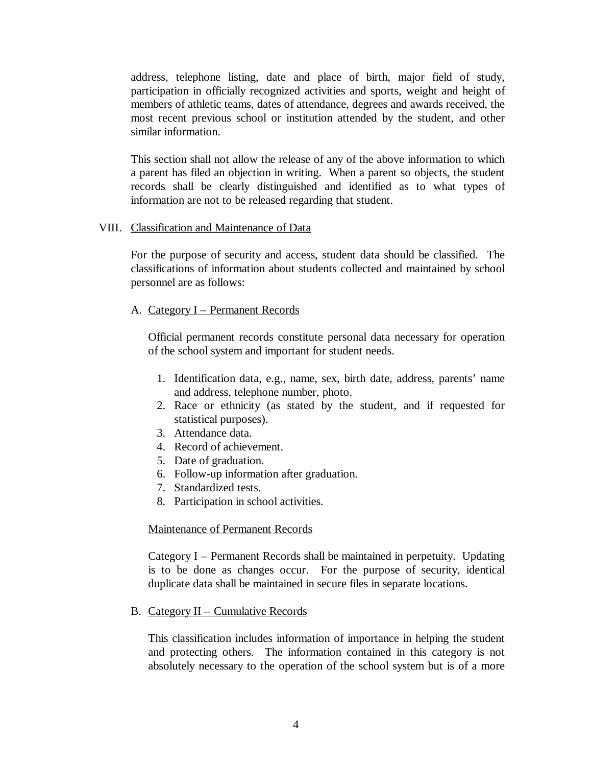address, telephone listing, date and place of birth, major field of study, participation in officially recognized activities and sports, weight and height of members of athletic teams, dates of attendance, degrees and awards received, the most recent previous school or institution attended by the student, and other similar information.

This section shall not allow the release of any of the above information to which a parent has filed an objection in writing. When a parent so objects, the student records shall be clearly distinguished and identified as to what types of information are not to be released regarding that student.

#### VIII. Classification and Maintenance of Data

For the purpose of security and access, student data should be classified. The classifications of information about students collected and maintained by school personnel are as follows:

#### A. Category I – Permanent Records

Official permanent records constitute personal data necessary for operation of the school system and important for student needs.

- 1. Identification data, e.g., name, sex, birth date, address, parents' name and address, telephone number, photo.
- 2. Race or ethnicity (as stated by the student, and if requested for statistical purposes).
- 3. Attendance data.
- 4. Record of achievement.
- 5. Date of graduation.
- 6. Follow-up information after graduation.
- 7. Standardized tests.
- 8. Participation in school activities.

#### Maintenance of Permanent Records

Category I – Permanent Records shall be maintained in perpetuity. Updating is to be done as changes occur. For the purpose of security, identical duplicate data shall be maintained in secure files in separate locations.

B. Category II – Cumulative Records

This classification includes information of importance in helping the student and protecting others. The information contained in this category is not absolutely necessary to the operation of the school system but is of a more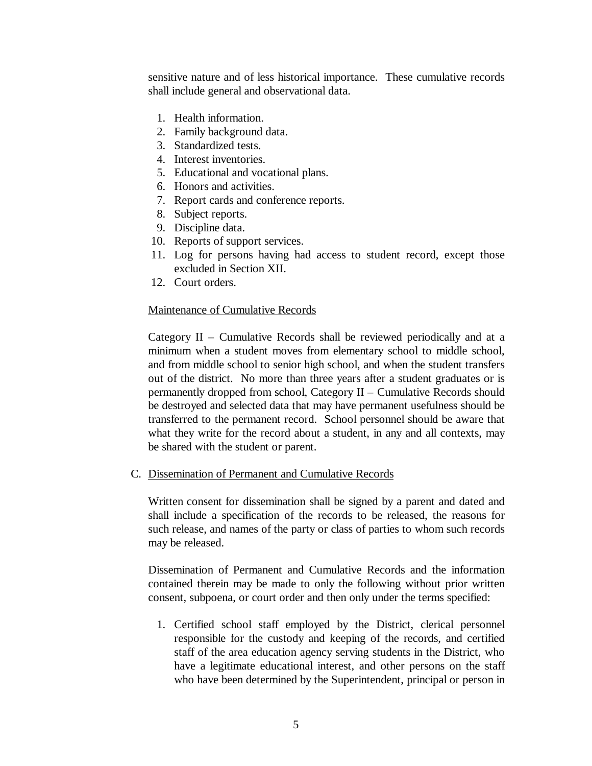sensitive nature and of less historical importance. These cumulative records shall include general and observational data.

- 1. Health information.
- 2. Family background data.
- 3. Standardized tests.
- 4. Interest inventories.
- 5. Educational and vocational plans.
- 6. Honors and activities.
- 7. Report cards and conference reports.
- 8. Subject reports.
- 9. Discipline data.
- 10. Reports of support services.
- 11. Log for persons having had access to student record, except those excluded in Section XII.
- 12. Court orders.

# Maintenance of Cumulative Records

Category II – Cumulative Records shall be reviewed periodically and at a minimum when a student moves from elementary school to middle school, and from middle school to senior high school, and when the student transfers out of the district. No more than three years after a student graduates or is permanently dropped from school, Category II – Cumulative Records should be destroyed and selected data that may have permanent usefulness should be transferred to the permanent record. School personnel should be aware that what they write for the record about a student, in any and all contexts, may be shared with the student or parent.

C. Dissemination of Permanent and Cumulative Records

Written consent for dissemination shall be signed by a parent and dated and shall include a specification of the records to be released, the reasons for such release, and names of the party or class of parties to whom such records may be released.

Dissemination of Permanent and Cumulative Records and the information contained therein may be made to only the following without prior written consent, subpoena, or court order and then only under the terms specified:

1. Certified school staff employed by the District, clerical personnel responsible for the custody and keeping of the records, and certified staff of the area education agency serving students in the District, who have a legitimate educational interest, and other persons on the staff who have been determined by the Superintendent, principal or person in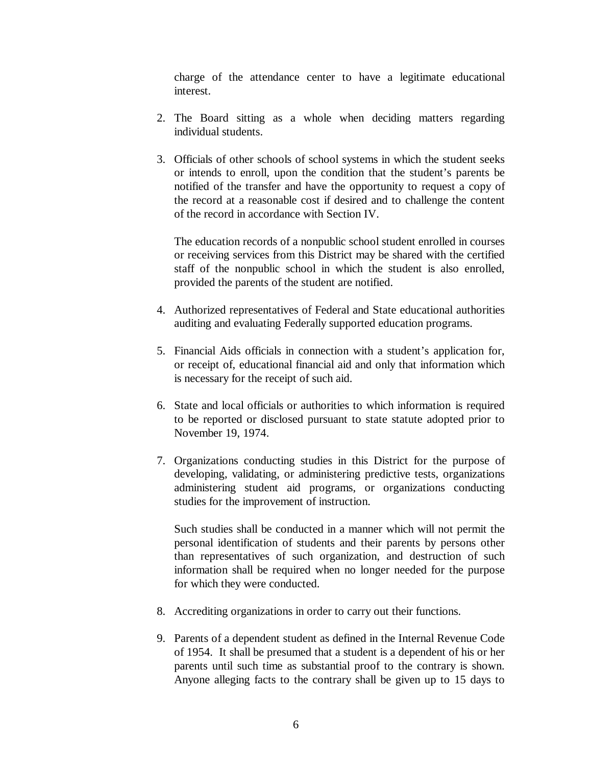charge of the attendance center to have a legitimate educational interest.

- 2. The Board sitting as a whole when deciding matters regarding individual students.
- 3. Officials of other schools of school systems in which the student seeks or intends to enroll, upon the condition that the student's parents be notified of the transfer and have the opportunity to request a copy of the record at a reasonable cost if desired and to challenge the content of the record in accordance with Section IV.

The education records of a nonpublic school student enrolled in courses or receiving services from this District may be shared with the certified staff of the nonpublic school in which the student is also enrolled, provided the parents of the student are notified.

- 4. Authorized representatives of Federal and State educational authorities auditing and evaluating Federally supported education programs.
- 5. Financial Aids officials in connection with a student's application for, or receipt of, educational financial aid and only that information which is necessary for the receipt of such aid.
- 6. State and local officials or authorities to which information is required to be reported or disclosed pursuant to state statute adopted prior to November 19, 1974.
- 7. Organizations conducting studies in this District for the purpose of developing, validating, or administering predictive tests, organizations administering student aid programs, or organizations conducting studies for the improvement of instruction.

Such studies shall be conducted in a manner which will not permit the personal identification of students and their parents by persons other than representatives of such organization, and destruction of such information shall be required when no longer needed for the purpose for which they were conducted.

- 8. Accrediting organizations in order to carry out their functions.
- 9. Parents of a dependent student as defined in the Internal Revenue Code of 1954. It shall be presumed that a student is a dependent of his or her parents until such time as substantial proof to the contrary is shown. Anyone alleging facts to the contrary shall be given up to 15 days to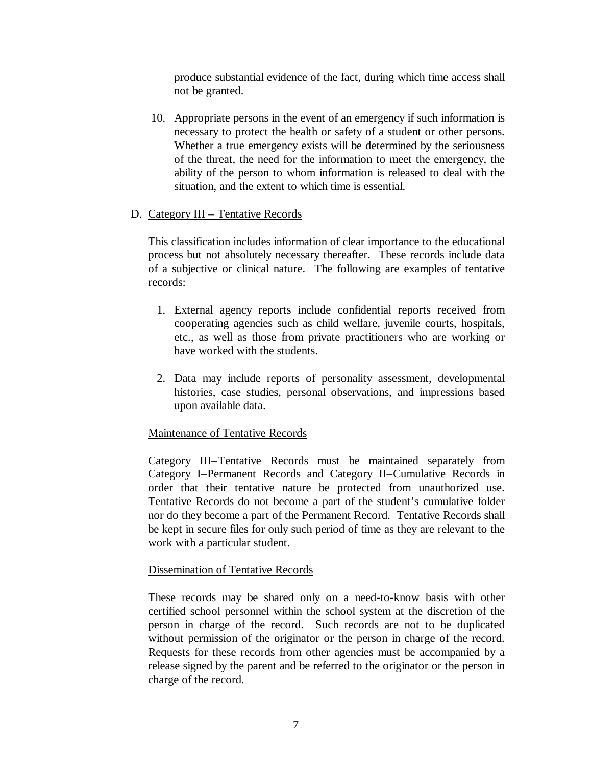produce substantial evidence of the fact, during which time access shall not be granted.

10. Appropriate persons in the event of an emergency if such information is necessary to protect the health or safety of a student or other persons. Whether a true emergency exists will be determined by the seriousness of the threat, the need for the information to meet the emergency, the ability of the person to whom information is released to deal with the situation, and the extent to which time is essential.

# D. Category III – Tentative Records

This classification includes information of clear importance to the educational process but not absolutely necessary thereafter. These records include data of a subjective or clinical nature. The following are examples of tentative records:

- 1. External agency reports include confidential reports received from cooperating agencies such as child welfare, juvenile courts, hospitals, etc., as well as those from private practitioners who are working or have worked with the students.
- 2. Data may include reports of personality assessment, developmental histories, case studies, personal observations, and impressions based upon available data.

# Maintenance of Tentative Records

Category III–Tentative Records must be maintained separately from Category I–Permanent Records and Category II–Cumulative Records in order that their tentative nature be protected from unauthorized use. Tentative Records do not become a part of the student's cumulative folder nor do they become a part of the Permanent Record. Tentative Records shall be kept in secure files for only such period of time as they are relevant to the work with a particular student.

# Dissemination of Tentative Records

These records may be shared only on a need-to-know basis with other certified school personnel within the school system at the discretion of the person in charge of the record. Such records are not to be duplicated without permission of the originator or the person in charge of the record. Requests for these records from other agencies must be accompanied by a release signed by the parent and be referred to the originator or the person in charge of the record.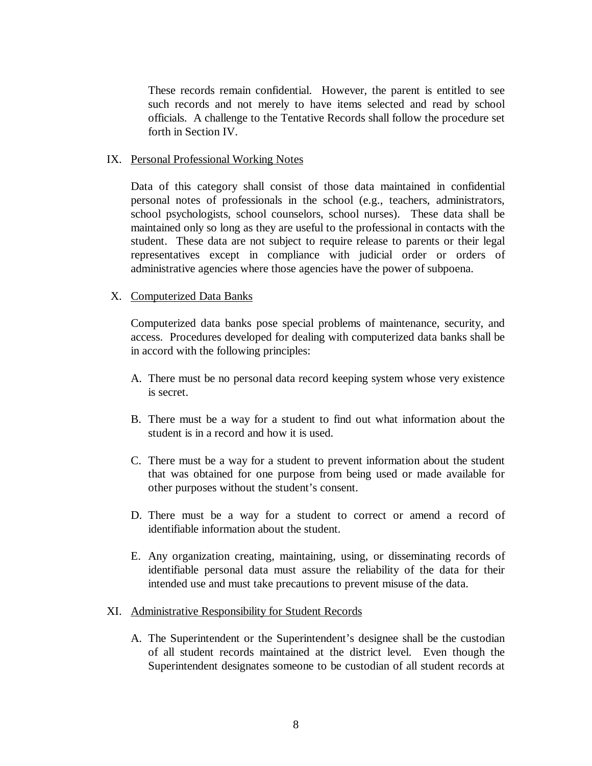These records remain confidential. However, the parent is entitled to see such records and not merely to have items selected and read by school officials. A challenge to the Tentative Records shall follow the procedure set forth in Section IV.

#### IX. Personal Professional Working Notes

Data of this category shall consist of those data maintained in confidential personal notes of professionals in the school (e.g., teachers, administrators, school psychologists, school counselors, school nurses). These data shall be maintained only so long as they are useful to the professional in contacts with the student. These data are not subject to require release to parents or their legal representatives except in compliance with judicial order or orders of administrative agencies where those agencies have the power of subpoena.

#### X. Computerized Data Banks

Computerized data banks pose special problems of maintenance, security, and access. Procedures developed for dealing with computerized data banks shall be in accord with the following principles:

- A. There must be no personal data record keeping system whose very existence is secret.
- B. There must be a way for a student to find out what information about the student is in a record and how it is used.
- C. There must be a way for a student to prevent information about the student that was obtained for one purpose from being used or made available for other purposes without the student's consent.
- D. There must be a way for a student to correct or amend a record of identifiable information about the student.
- E. Any organization creating, maintaining, using, or disseminating records of identifiable personal data must assure the reliability of the data for their intended use and must take precautions to prevent misuse of the data.

#### XI. Administrative Responsibility for Student Records

A. The Superintendent or the Superintendent's designee shall be the custodian of all student records maintained at the district level. Even though the Superintendent designates someone to be custodian of all student records at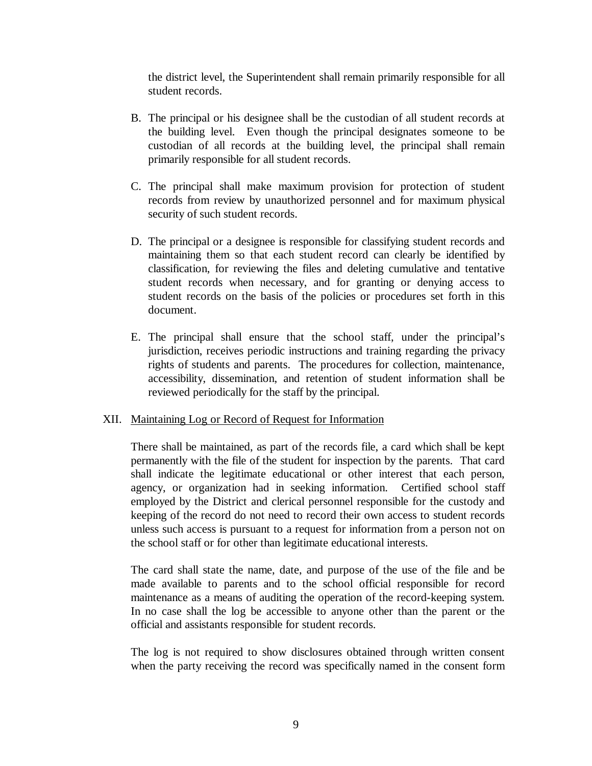the district level, the Superintendent shall remain primarily responsible for all student records.

- B. The principal or his designee shall be the custodian of all student records at the building level. Even though the principal designates someone to be custodian of all records at the building level, the principal shall remain primarily responsible for all student records.
- C. The principal shall make maximum provision for protection of student records from review by unauthorized personnel and for maximum physical security of such student records.
- D. The principal or a designee is responsible for classifying student records and maintaining them so that each student record can clearly be identified by classification, for reviewing the files and deleting cumulative and tentative student records when necessary, and for granting or denying access to student records on the basis of the policies or procedures set forth in this document.
- E. The principal shall ensure that the school staff, under the principal's jurisdiction, receives periodic instructions and training regarding the privacy rights of students and parents. The procedures for collection, maintenance, accessibility, dissemination, and retention of student information shall be reviewed periodically for the staff by the principal.

# XII. Maintaining Log or Record of Request for Information

There shall be maintained, as part of the records file, a card which shall be kept permanently with the file of the student for inspection by the parents. That card shall indicate the legitimate educational or other interest that each person, agency, or organization had in seeking information. Certified school staff employed by the District and clerical personnel responsible for the custody and keeping of the record do not need to record their own access to student records unless such access is pursuant to a request for information from a person not on the school staff or for other than legitimate educational interests.

The card shall state the name, date, and purpose of the use of the file and be made available to parents and to the school official responsible for record maintenance as a means of auditing the operation of the record-keeping system. In no case shall the log be accessible to anyone other than the parent or the official and assistants responsible for student records.

The log is not required to show disclosures obtained through written consent when the party receiving the record was specifically named in the consent form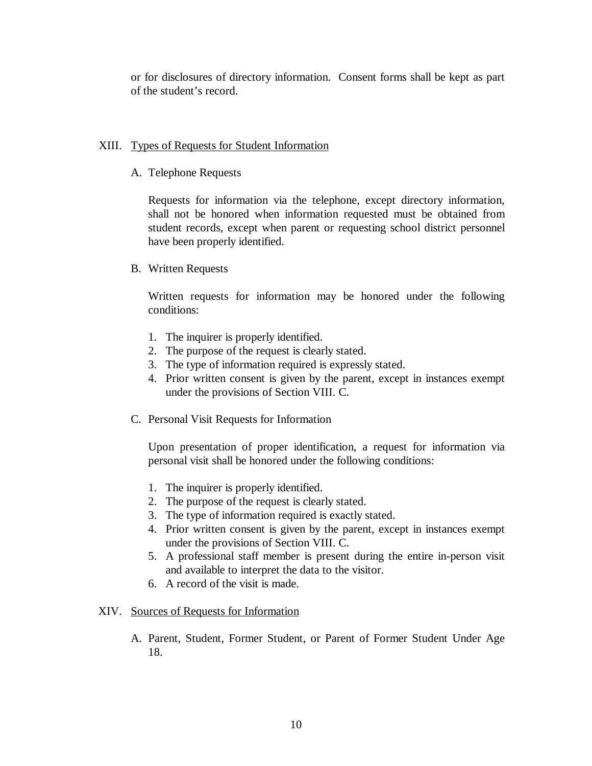or for disclosures of directory information. Consent forms shall be kept as part of the student's record.

# XIII. Types of Requests for Student Information

A. Telephone Requests

Requests for information via the telephone, except directory information, shall not be honored when information requested must be obtained from student records, except when parent or requesting school district personnel have been properly identified.

B. Written Requests

Written requests for information may be honored under the following conditions:

- 1. The inquirer is properly identified.
- 2. The purpose of the request is clearly stated.
- 3. The type of information required is expressly stated.
- 4. Prior written consent is given by the parent, except in instances exempt under the provisions of Section VIII. C.
- C. Personal Visit Requests for Information

Upon presentation of proper identification, a request for information via personal visit shall be honored under the following conditions:

- 1. The inquirer is properly identified.
- 2. The purpose of the request is clearly stated.
- 3. The type of information required is exactly stated.
- 4. Prior written consent is given by the parent, except in instances exempt under the provisions of Section VIII. C.
- 5. A professional staff member is present during the entire in-person visit and available to interpret the data to the visitor.
- 6. A record of the visit is made.

# XIV. Sources of Requests for Information

A. Parent, Student, Former Student, or Parent of Former Student Under Age 18.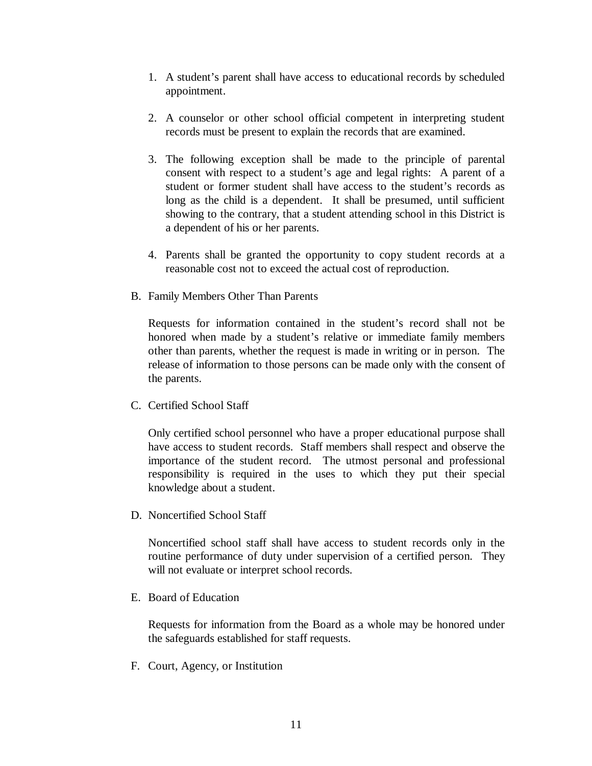- 1. A student's parent shall have access to educational records by scheduled appointment.
- 2. A counselor or other school official competent in interpreting student records must be present to explain the records that are examined.
- 3. The following exception shall be made to the principle of parental consent with respect to a student's age and legal rights: A parent of a student or former student shall have access to the student's records as long as the child is a dependent. It shall be presumed, until sufficient showing to the contrary, that a student attending school in this District is a dependent of his or her parents.
- 4. Parents shall be granted the opportunity to copy student records at a reasonable cost not to exceed the actual cost of reproduction.
- B. Family Members Other Than Parents

Requests for information contained in the student's record shall not be honored when made by a student's relative or immediate family members other than parents, whether the request is made in writing or in person. The release of information to those persons can be made only with the consent of the parents.

C. Certified School Staff

Only certified school personnel who have a proper educational purpose shall have access to student records. Staff members shall respect and observe the importance of the student record. The utmost personal and professional responsibility is required in the uses to which they put their special knowledge about a student.

D. Noncertified School Staff

Noncertified school staff shall have access to student records only in the routine performance of duty under supervision of a certified person. They will not evaluate or interpret school records.

E. Board of Education

Requests for information from the Board as a whole may be honored under the safeguards established for staff requests.

F. Court, Agency, or Institution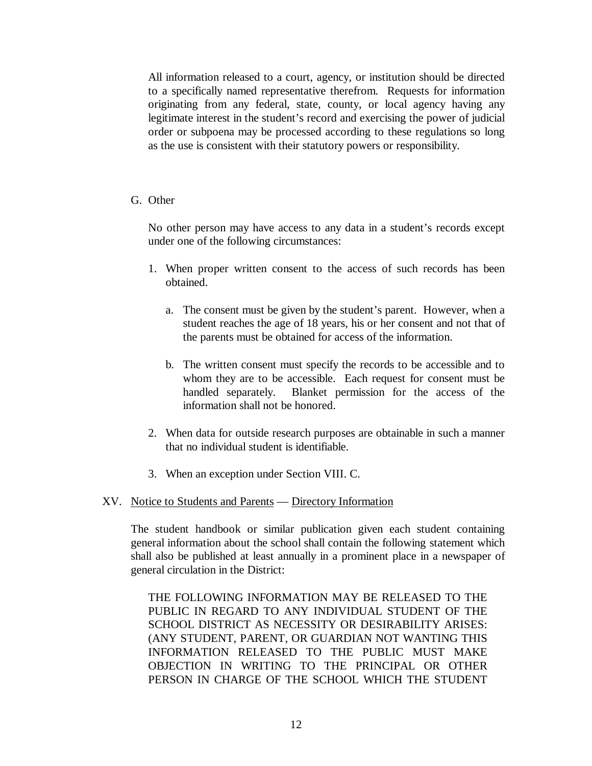All information released to a court, agency, or institution should be directed to a specifically named representative therefrom. Requests for information originating from any federal, state, county, or local agency having any legitimate interest in the student's record and exercising the power of judicial order or subpoena may be processed according to these regulations so long as the use is consistent with their statutory powers or responsibility.

#### G. Other

No other person may have access to any data in a student's records except under one of the following circumstances:

- 1. When proper written consent to the access of such records has been obtained.
	- a. The consent must be given by the student's parent. However, when a student reaches the age of 18 years, his or her consent and not that of the parents must be obtained for access of the information.
	- b. The written consent must specify the records to be accessible and to whom they are to be accessible. Each request for consent must be handled separately. Blanket permission for the access of the information shall not be honored.
- 2. When data for outside research purposes are obtainable in such a manner that no individual student is identifiable.
- 3. When an exception under Section VIII. C.

# XV. Notice to Students and Parents — Directory Information

The student handbook or similar publication given each student containing general information about the school shall contain the following statement which shall also be published at least annually in a prominent place in a newspaper of general circulation in the District:

THE FOLLOWING INFORMATION MAY BE RELEASED TO THE PUBLIC IN REGARD TO ANY INDIVIDUAL STUDENT OF THE SCHOOL DISTRICT AS NECESSITY OR DESIRABILITY ARISES: (ANY STUDENT, PARENT, OR GUARDIAN NOT WANTING THIS INFORMATION RELEASED TO THE PUBLIC MUST MAKE OBJECTION IN WRITING TO THE PRINCIPAL OR OTHER PERSON IN CHARGE OF THE SCHOOL WHICH THE STUDENT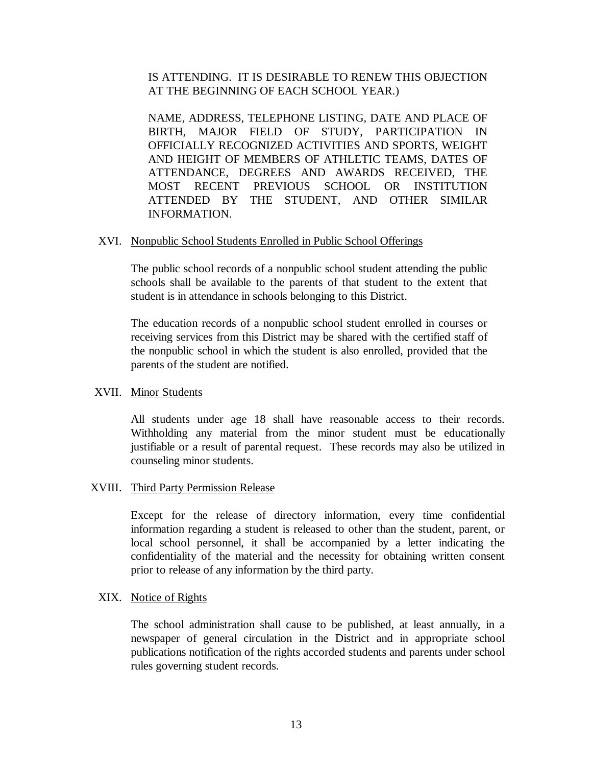# IS ATTENDING. IT IS DESIRABLE TO RENEW THIS OBJECTION AT THE BEGINNING OF EACH SCHOOL YEAR.)

NAME, ADDRESS, TELEPHONE LISTING, DATE AND PLACE OF BIRTH, MAJOR FIELD OF STUDY, PARTICIPATION IN OFFICIALLY RECOGNIZED ACTIVITIES AND SPORTS, WEIGHT AND HEIGHT OF MEMBERS OF ATHLETIC TEAMS, DATES OF ATTENDANCE, DEGREES AND AWARDS RECEIVED, THE MOST RECENT PREVIOUS SCHOOL OR INSTITUTION ATTENDED BY THE STUDENT, AND OTHER SIMILAR INFORMATION.

#### XVI. Nonpublic School Students Enrolled in Public School Offerings

The public school records of a nonpublic school student attending the public schools shall be available to the parents of that student to the extent that student is in attendance in schools belonging to this District.

The education records of a nonpublic school student enrolled in courses or receiving services from this District may be shared with the certified staff of the nonpublic school in which the student is also enrolled, provided that the parents of the student are notified.

# XVII. Minor Students

All students under age 18 shall have reasonable access to their records. Withholding any material from the minor student must be educationally justifiable or a result of parental request. These records may also be utilized in counseling minor students.

# XVIII. Third Party Permission Release

Except for the release of directory information, every time confidential information regarding a student is released to other than the student, parent, or local school personnel, it shall be accompanied by a letter indicating the confidentiality of the material and the necessity for obtaining written consent prior to release of any information by the third party.

#### XIX. Notice of Rights

The school administration shall cause to be published, at least annually, in a newspaper of general circulation in the District and in appropriate school publications notification of the rights accorded students and parents under school rules governing student records.